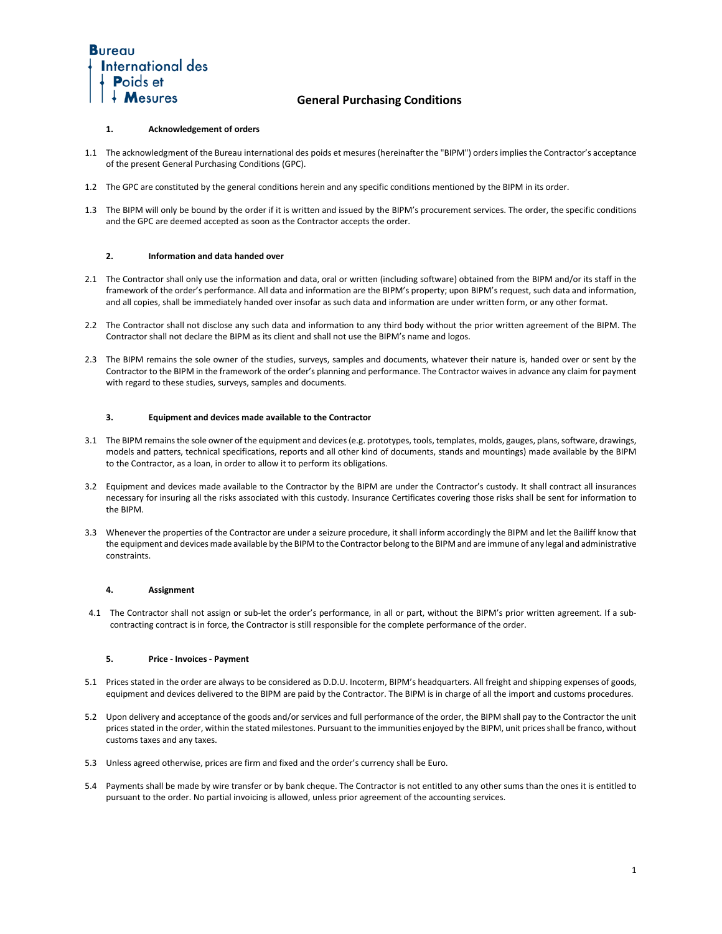

### **1. Acknowledgement of orders**

- 1.1 The acknowledgment of the Bureau international des poids et mesures (hereinafter the "BIPM") orders implies the Contractor's acceptance of the present General Purchasing Conditions (GPC).
- 1.2 The GPC are constituted by the general conditions herein and any specific conditions mentioned by the BIPM in its order.
- 1.3 The BIPM will only be bound by the order if it is written and issued by the BIPM's procurement services. The order, the specific conditions and the GPC are deemed accepted as soon as the Contractor accepts the order.

### **2. Information and data handed over**

- 2.1 The Contractor shall only use the information and data, oral or written (including software) obtained from the BIPM and/or its staff in the framework of the order's performance. All data and information are the BIPM's property; upon BIPM's request, such data and information, and all copies, shall be immediately handed over insofar as such data and information are under written form, or any other format.
- 2.2 The Contractor shall not disclose any such data and information to any third body without the prior written agreement of the BIPM. The Contractor shall not declare the BIPM as its client and shall not use the BIPM's name and logos.
- 2.3 The BIPM remains the sole owner of the studies, surveys, samples and documents, whatever their nature is, handed over or sent by the Contractor to the BIPM in the framework of the order's planning and performance. The Contractor waives in advance any claim for payment with regard to these studies, surveys, samples and documents.

### **3. Equipment and devices made available to the Contractor**

- 3.1 The BIPM remains the sole owner of the equipment and devices (e.g. prototypes, tools, templates, molds, gauges, plans, software, drawings, models and patters, technical specifications, reports and all other kind of documents, stands and mountings) made available by the BIPM to the Contractor, as a loan, in order to allow it to perform its obligations.
- 3.2 Equipment and devices made available to the Contractor by the BIPM are under the Contractor's custody. It shall contract all insurances necessary for insuring all the risks associated with this custody. Insurance Certificates covering those risks shall be sent for information to the BIPM.
- 3.3 Whenever the properties of the Contractor are under a seizure procedure, it shall inform accordingly the BIPM and let the Bailiff know that the equipment and devices made available by the BIPM to the Contractor belong to the BIPM and are immune of any legal and administrative constraints.

## **4. Assignment**

4.1 The Contractor shall not assign or sub-let the order's performance, in all or part, without the BIPM's prior written agreement. If a subcontracting contract is in force, the Contractor is still responsible for the complete performance of the order.

## **5. Price - Invoices - Payment**

- 5.1 Prices stated in the order are always to be considered as D.D.U. Incoterm, BIPM's headquarters. All freight and shipping expenses of goods, equipment and devices delivered to the BIPM are paid by the Contractor. The BIPM is in charge of all the import and customs procedures.
- 5.2 Upon delivery and acceptance of the goods and/or services and full performance of the order, the BIPM shall pay to the Contractor the unit prices stated in the order, within the stated milestones. Pursuant to the immunities enjoyed by the BIPM, unit prices shall be franco, without customs taxes and any taxes.
- 5.3 Unless agreed otherwise, prices are firm and fixed and the order's currency shall be Euro.
- 5.4 Payments shall be made by wire transfer or by bank cheque. The Contractor is not entitled to any other sums than the ones it is entitled to pursuant to the order. No partial invoicing is allowed, unless prior agreement of the accounting services.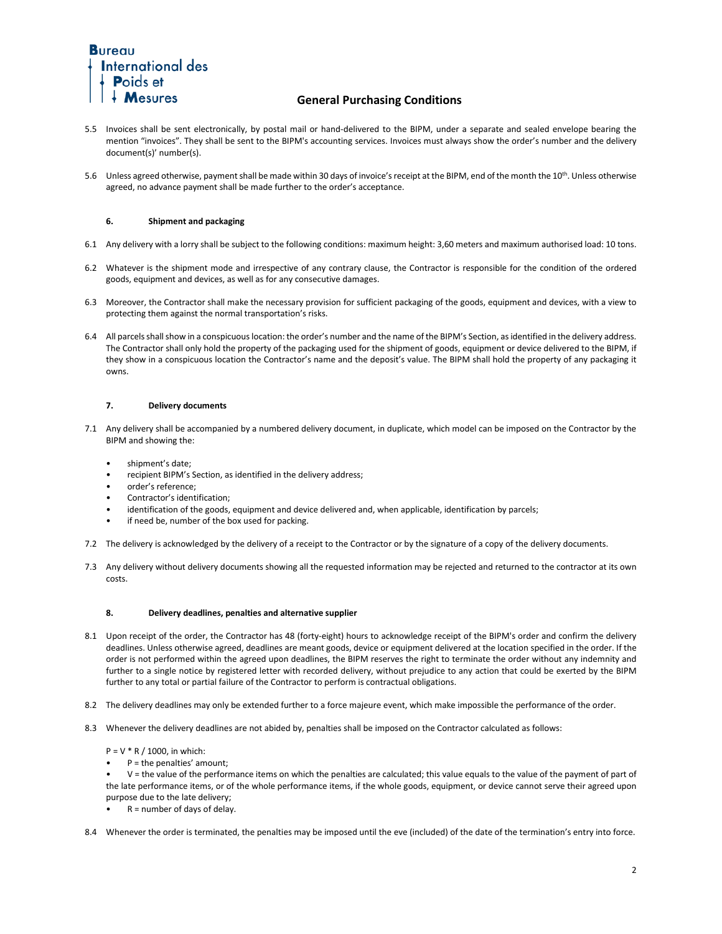

- 5.5 Invoices shall be sent electronically, by postal mail or hand-delivered to the BIPM, under a separate and sealed envelope bearing the mention "invoices". They shall be sent to the BIPM's accounting services. Invoices must always show the order's number and the delivery document(s)' number(s).
- 5.6 Unless agreed otherwise, payment shall be made within 30 days of invoice's receipt at the BIPM, end of the month the 10<sup>th</sup>. Unless otherwise agreed, no advance payment shall be made further to the order's acceptance.

## **6. Shipment and packaging**

- 6.1 Any delivery with a lorry shall be subject to the following conditions: maximum height: 3,60 meters and maximum authorised load: 10 tons.
- 6.2 Whatever is the shipment mode and irrespective of any contrary clause, the Contractor is responsible for the condition of the ordered goods, equipment and devices, as well as for any consecutive damages.
- 6.3 Moreover, the Contractor shall make the necessary provision for sufficient packaging of the goods, equipment and devices, with a view to protecting them against the normal transportation's risks.
- 6.4 All parcels shall show in a conspicuous location: the order's number and the name of the BIPM's Section, as identified in the delivery address. The Contractor shall only hold the property of the packaging used for the shipment of goods, equipment or device delivered to the BIPM, if they show in a conspicuous location the Contractor's name and the deposit's value. The BIPM shall hold the property of any packaging it owns.

## **7. Delivery documents**

- 7.1 Any delivery shall be accompanied by a numbered delivery document, in duplicate, which model can be imposed on the Contractor by the BIPM and showing the:
	- shipment's date;
	- recipient BIPM's Section, as identified in the delivery address;
	- order's reference;
	- Contractor's identification;
	- identification of the goods, equipment and device delivered and, when applicable, identification by parcels;
	- if need be, number of the box used for packing.
- 7.2 The delivery is acknowledged by the delivery of a receipt to the Contractor or by the signature of a copy of the delivery documents.
- 7.3 Any delivery without delivery documents showing all the requested information may be rejected and returned to the contractor at its own costs.

#### **8. Delivery deadlines, penalties and alternative supplier**

- 8.1 Upon receipt of the order, the Contractor has 48 (forty-eight) hours to acknowledge receipt of the BIPM's order and confirm the delivery deadlines. Unless otherwise agreed, deadlines are meant goods, device or equipment delivered at the location specified in the order. If the order is not performed within the agreed upon deadlines, the BIPM reserves the right to terminate the order without any indemnity and further to a single notice by registered letter with recorded delivery, without prejudice to any action that could be exerted by the BIPM further to any total or partial failure of the Contractor to perform is contractual obligations.
- 8.2 The delivery deadlines may only be extended further to a force majeure event, which make impossible the performance of the order.
- 8.3 Whenever the delivery deadlines are not abided by, penalties shall be imposed on the Contractor calculated as follows:
	- $P = V * R / 1000$ , in which:
	- $P =$  the penalties' amount;
	- V = the value of the performance items on which the penalties are calculated; this value equals to the value of the payment of part of the late performance items, or of the whole performance items, if the whole goods, equipment, or device cannot serve their agreed upon purpose due to the late delivery;
	- $R =$  number of days of delay.
- 8.4 Whenever the order is terminated, the penalties may be imposed until the eve (included) of the date of the termination's entry into force.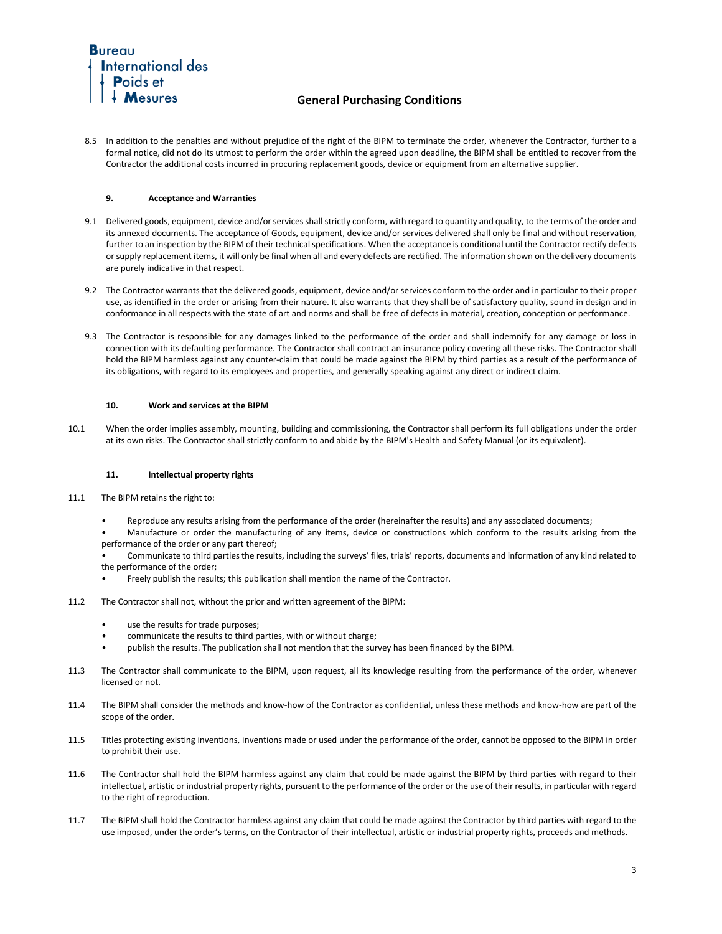

8.5 In addition to the penalties and without prejudice of the right of the BIPM to terminate the order, whenever the Contractor, further to a formal notice, did not do its utmost to perform the order within the agreed upon deadline, the BIPM shall be entitled to recover from the Contractor the additional costs incurred in procuring replacement goods, device or equipment from an alternative supplier.

## **9. Acceptance and Warranties**

- 9.1 Delivered goods, equipment, device and/or services shall strictly conform, with regard to quantity and quality, to the terms of the order and its annexed documents. The acceptance of Goods, equipment, device and/or services delivered shall only be final and without reservation, further to an inspection by the BIPM of their technical specifications. When the acceptance is conditional until the Contractor rectify defects or supply replacement items, it will only be final when all and every defects are rectified. The information shown on the delivery documents are purely indicative in that respect.
- 9.2 The Contractor warrants that the delivered goods, equipment, device and/or services conform to the order and in particular to their proper use, as identified in the order or arising from their nature. It also warrants that they shall be of satisfactory quality, sound in design and in conformance in all respects with the state of art and norms and shall be free of defects in material, creation, conception or performance.
- 9.3 The Contractor is responsible for any damages linked to the performance of the order and shall indemnify for any damage or loss in connection with its defaulting performance. The Contractor shall contract an insurance policy covering all these risks. The Contractor shall hold the BIPM harmless against any counter-claim that could be made against the BIPM by third parties as a result of the performance of its obligations, with regard to its employees and properties, and generally speaking against any direct or indirect claim.

### **10. Work and services at the BIPM**

10.1 When the order implies assembly, mounting, building and commissioning, the Contractor shall perform its full obligations under the order at its own risks. The Contractor shall strictly conform to and abide by the BIPM's Health and Safety Manual (or its equivalent).

#### **11. Intellectual property rights**

- 11.1 The BIPM retains the right to:
	- Reproduce any results arising from the performance of the order (hereinafter the results) and any associated documents;
	- Manufacture or order the manufacturing of any items, device or constructions which conform to the results arising from the performance of the order or any part thereof;
	- Communicate to third parties the results, including the surveys' files, trials' reports, documents and information of any kind related to the performance of the order;
		- Freely publish the results; this publication shall mention the name of the Contractor.
- 11.2 The Contractor shall not, without the prior and written agreement of the BIPM:
	- use the results for trade purposes;
	- communicate the results to third parties, with or without charge;
	- publish the results. The publication shall not mention that the survey has been financed by the BIPM.
- 11.3 The Contractor shall communicate to the BIPM, upon request, all its knowledge resulting from the performance of the order, whenever licensed or not.
- 11.4 The BIPM shall consider the methods and know-how of the Contractor as confidential, unless these methods and know-how are part of the scope of the order.
- 11.5 Titles protecting existing inventions, inventions made or used under the performance of the order, cannot be opposed to the BIPM in order to prohibit their use.
- 11.6 The Contractor shall hold the BIPM harmless against any claim that could be made against the BIPM by third parties with regard to their intellectual, artistic or industrial property rights, pursuant to the performance of the order or the use of their results, in particular with regard to the right of reproduction.
- 11.7 The BIPM shall hold the Contractor harmless against any claim that could be made against the Contractor by third parties with regard to the use imposed, under the order's terms, on the Contractor of their intellectual, artistic or industrial property rights, proceeds and methods.